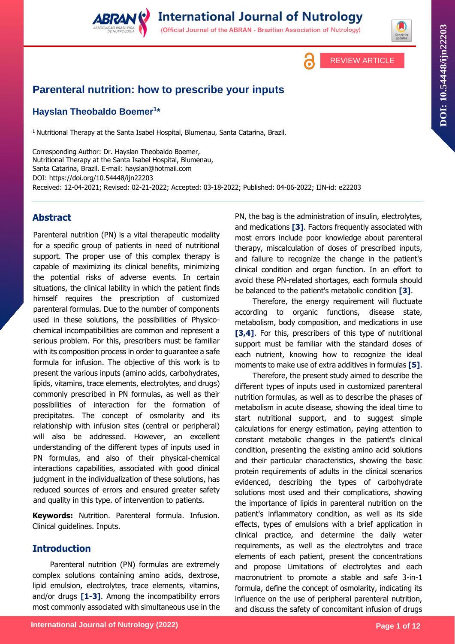

**International Journal of Nutrology** (Official Journal of the ABRAN - Brazilian Association of Nutrology)

REVIEW ARTICLE



# **Parenteral nutrition: how to prescribe your inputs**

# **Hayslan Theobaldo Boemer<sup>1</sup> \***

<sup>1</sup> Nutritional Therapy at the Santa Isabel Hospital, Blumenau, Santa Catarina, Brazil.

Corresponding Author: Dr. Hayslan Theobaldo Boemer, Nutritional Therapy at the Santa Isabel Hospital, Blumenau, Santa Catarina, Brazil. E-mail: hayslan@hotmail.com DOI:<https://doi.org/10.54448/ijn22203> Received: 12-04-2021; Revised: 02-21-2022; Accepted: 03-18-2022; Published: 04-06-2022; IJN-id: e22203

# **Abstract**

Parenteral nutrition (PN) is a vital therapeutic modality for a specific group of patients in need of nutritional support. The proper use of this complex therapy is capable of maximizing its clinical benefits, minimizing the potential risks of adverse events. In certain situations, the clinical lability in which the patient finds himself requires the prescription of customized parenteral formulas. Due to the number of components used in these solutions, the possibilities of Physicochemical incompatibilities are common and represent a serious problem. For this, prescribers must be familiar with its composition process in order to guarantee a safe formula for infusion. The objective of this work is to present the various inputs (amino acids, carbohydrates, lipids, vitamins, trace elements, electrolytes, and drugs) commonly prescribed in PN formulas, as well as their possibilities of interaction for the formation of precipitates. The concept of osmolarity and its relationship with infusion sites (central or peripheral) will also be addressed. However, an excellent understanding of the different types of inputs used in PN formulas, and also of their physical-chemical interactions capabilities, associated with good clinical judgment in the individualization of these solutions, has reduced sources of errors and ensured greater safety and quality in this type. of intervention to patients.

**Keywords:** Nutrition. Parenteral formula. Infusion. Clinical guidelines. Inputs.

# **Introduction**

Parenteral nutrition (PN) formulas are extremely complex solutions containing amino acids, dextrose, lipid emulsion, electrolytes, trace elements, vitamins, and/or drugs **[1-3]**. Among the incompatibility errors most commonly associated with simultaneous use in the

PN, the bag is the administration of insulin, electrolytes, and medications **[3]**. Factors frequently associated with most errors include poor knowledge about parenteral therapy, miscalculation of doses of prescribed inputs, and failure to recognize the change in the patient's clinical condition and organ function. In an effort to avoid these PN-related shortages, each formula should be balanced to the patient's metabolic condition **[3]**.

Therefore, the energy requirement will fluctuate according to organic functions, disease state, metabolism, body composition, and medications in use **[3,4]**. For this, prescribers of this type of nutritional support must be familiar with the standard doses of each nutrient, knowing how to recognize the ideal moments to make use of extra additives in formulas **[5]**.

Therefore, the present study aimed to describe the different types of inputs used in customized parenteral nutrition formulas, as well as to describe the phases of metabolism in acute disease, showing the ideal time to start nutritional support, and to suggest simple calculations for energy estimation, paying attention to constant metabolic changes in the patient's clinical condition, presenting the existing amino acid solutions and their particular characteristics, showing the basic protein requirements of adults in the clinical scenarios evidenced, describing the types of carbohydrate solutions most used and their complications, showing the importance of lipids in parenteral nutrition on the patient's inflammatory condition, as well as its side effects, types of emulsions with a brief application in clinical practice, and determine the daily water requirements, as well as the electrolytes and trace elements of each patient, present the concentrations and propose Limitations of electrolytes and each macronutrient to promote a stable and safe 3-in-1 formula, define the concept of osmolarity, indicating its influence on the use of peripheral parenteral nutrition, and discuss the safety of concomitant infusion of drugs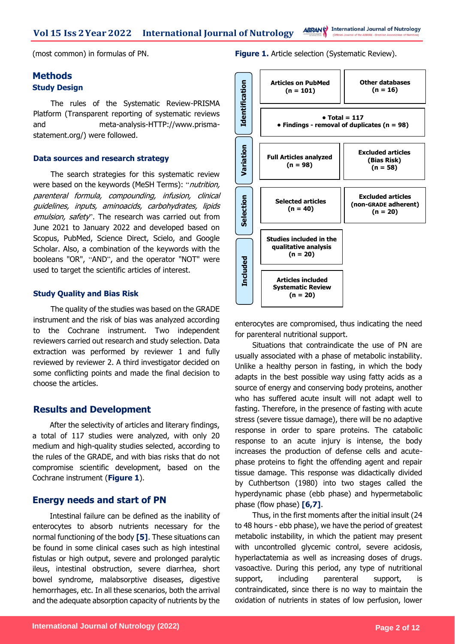**Vol 15 Iss 2Year 2022 International Journal of Nutrology**

**ABRANC** International Journal of Nutrology

(most common) in formulas of PN.

### **Methods Study Design**

The rules of the Systematic Review-PRISMA Platform (Transparent reporting of systematic reviews and meta-analysis-HTTP://www.prismastatement.org/) were followed.

#### **Data sources and research strategy**

The search strategies for this systematic review were based on the keywords (MeSH Terms): "nutrition, parenteral formula, compounding, infusion, clinical guidelines, inputs, aminoacids, carbohydrates, lipids emulsion, safety". The research was carried out from June 2021 to January 2022 and developed based on Scopus, PubMed, Science Direct, Scielo, and Google Scholar. Also, a combination of the keywords with the booleans "OR", "AND", and the operator "NOT" were used to target the scientific articles of interest.

### **Study Quality and Bias Risk**

The quality of the studies was based on the GRADE instrument and the risk of bias was analyzed according to the Cochrane instrument. Two independent reviewers carried out research and study selection. Data extraction was performed by reviewer 1 and fully reviewed by reviewer 2. A third investigator decided on some conflicting points and made the final decision to choose the articles.

### **Results and Development**

After the selectivity of articles and literary findings, a total of 117 studies were analyzed, with only 20 medium and high-quality studies selected, according to the rules of the GRADE, and with bias risks that do not compromise scientific development, based on the Cochrane instrument (**Figure 1**).

### **Energy needs and start of PN**

Intestinal failure can be defined as the inability of enterocytes to absorb nutrients necessary for the normal functioning of the body **[5]**. These situations can be found in some clinical cases such as high intestinal fistulas or high output, severe and prolonged paralytic ileus, intestinal obstruction, severe diarrhea, short bowel syndrome, malabsorptive diseases, digestive hemorrhages, etc. In all these scenarios, both the arrival and the adequate absorption capacity of nutrients by the

**Figure 1.** Article selection (Systematic Review).



enterocytes are compromised, thus indicating the need for parenteral nutritional support.

Situations that contraindicate the use of PN are usually associated with a phase of metabolic instability. Unlike a healthy person in fasting, in which the body adapts in the best possible way using fatty acids as a source of energy and conserving body proteins, another who has suffered acute insult will not adapt well to fasting. Therefore, in the presence of fasting with acute stress (severe tissue damage), there will be no adaptive response in order to spare proteins. The catabolic response to an acute injury is intense, the body increases the production of defense cells and acutephase proteins to fight the offending agent and repair tissue damage. This response was didactically divided by Cuthbertson (1980) into two stages called the hyperdynamic phase (ebb phase) and hypermetabolic phase (flow phase) **[6,7]**.

Thus, in the first moments after the initial insult (24 to 48 hours - ebb phase), we have the period of greatest metabolic instability, in which the patient may present with uncontrolled glycemic control, severe acidosis, hyperlactatemia as well as increasing doses of drugs. vasoactive. During this period, any type of nutritional support, including parenteral support, is contraindicated, since there is no way to maintain the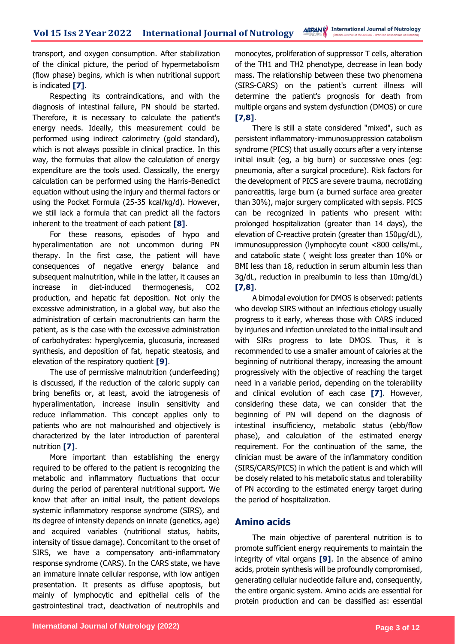transport, and oxygen consumption. After stabilization of the clinical picture, the period of hypermetabolism (flow phase) begins, which is when nutritional support is indicated **[7]**.

Respecting its contraindications, and with the diagnosis of intestinal failure, PN should be started. Therefore, it is necessary to calculate the patient's energy needs. Ideally, this measurement could be performed using indirect calorimetry (gold standard), which is not always possible in clinical practice. In this way, the formulas that allow the calculation of energy expenditure are the tools used. Classically, the energy calculation can be performed using the Harris-Benedict equation without using the injury and thermal factors or using the Pocket Formula (25-35 kcal/kg/d). However, we still lack a formula that can predict all the factors inherent to the treatment of each patient **[8]**.

For these reasons, episodes of hypo and hyperalimentation are not uncommon during PN therapy. In the first case, the patient will have consequences of negative energy balance and subsequent malnutrition, while in the latter, it causes an increase in diet-induced thermogenesis, CO2 production, and hepatic fat deposition. Not only the excessive administration, in a global way, but also the administration of certain macronutrients can harm the patient, as is the case with the excessive administration of carbohydrates: hyperglycemia, glucosuria, increased synthesis, and deposition of fat, hepatic steatosis, and elevation of the respiratory quotient **[9]**.

The use of permissive malnutrition (underfeeding) is discussed, if the reduction of the caloric supply can bring benefits or, at least, avoid the iatrogenesis of hyperalimentation, increase insulin sensitivity and reduce inflammation. This concept applies only to patients who are not malnourished and objectively is characterized by the later introduction of parenteral nutrition **[7]**.

More important than establishing the energy required to be offered to the patient is recognizing the metabolic and inflammatory fluctuations that occur during the period of parenteral nutritional support. We know that after an initial insult, the patient develops systemic inflammatory response syndrome (SIRS), and its degree of intensity depends on innate (genetics, age) and acquired variables (nutritional status, habits, intensity of tissue damage). Concomitant to the onset of SIRS, we have a compensatory anti-inflammatory response syndrome (CARS). In the CARS state, we have an immature innate cellular response, with low antigen presentation. It presents as diffuse apoptosis, but mainly of lymphocytic and epithelial cells of the gastrointestinal tract, deactivation of neutrophils and

monocytes, proliferation of suppressor T cells, alteration of the TH1 and TH2 phenotype, decrease in lean body mass. The relationship between these two phenomena (SIRS-CARS) on the patient's current illness will determine the patient's prognosis for death from multiple organs and system dysfunction (DMOS) or cure **[7,8]**.

There is still a state considered "mixed", such as persistent inflammatory-immunosuppression catabolism syndrome (PICS) that usually occurs after a very intense initial insult (eg, a big burn) or successive ones (eg: pneumonia, after a surgical procedure). Risk factors for the development of PICS are severe trauma, necrotizing pancreatitis, large burn (a burned surface area greater than 30%), major surgery complicated with sepsis. PICS can be recognized in patients who present with: prolonged hospitalization (greater than 14 days), the elevation of C-reactive protein (greater than 150µg/dL), immunosuppression (lymphocyte count <800 cells/mL, and catabolic state ( weight loss greater than 10% or BMI less than 18, reduction in serum albumin less than 3g/dL, reduction in prealbumin to less than 10mg/dL) **[7,8]**.

A bimodal evolution for DMOS is observed: patients who develop SIRS without an infectious etiology usually progress to it early, whereas those with CARS induced by injuries and infection unrelated to the initial insult and with SIRs progress to late DMOS. Thus, it is recommended to use a smaller amount of calories at the beginning of nutritional therapy, increasing the amount progressively with the objective of reaching the target need in a variable period, depending on the tolerability and clinical evolution of each case **[7]**. However, considering these data, we can consider that the beginning of PN will depend on the diagnosis of intestinal insufficiency, metabolic status (ebb/flow phase), and calculation of the estimated energy requirement. For the continuation of the same, the clinician must be aware of the inflammatory condition (SIRS/CARS/PICS) in which the patient is and which will be closely related to his metabolic status and tolerability of PN according to the estimated energy target during the period of hospitalization.

# **Amino acids**

The main objective of parenteral nutrition is to promote sufficient energy requirements to maintain the integrity of vital organs **[9]**. In the absence of amino acids, protein synthesis will be profoundly compromised, generating cellular nucleotide failure and, consequently, the entire organic system. Amino acids are essential for protein production and can be classified as: essential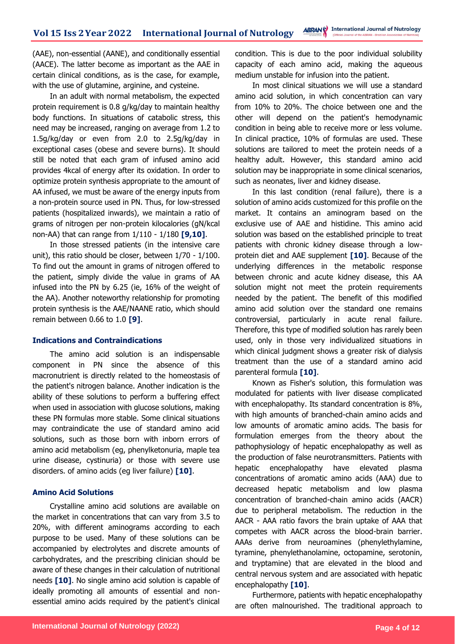(AAE), non-essential (AANE), and conditionally essential (AACE). The latter become as important as the AAE in certain clinical conditions, as is the case, for example, with the use of glutamine, arginine, and cysteine.

In an adult with normal metabolism, the expected protein requirement is 0.8 g/kg/day to maintain healthy body functions. In situations of catabolic stress, this need may be increased, ranging on average from 1.2 to 1.5g/kg/day or even from 2.0 to 2.5g/kg/day in exceptional cases (obese and severe burns). It should still be noted that each gram of infused amino acid provides 4kcal of energy after its oxidation. In order to optimize protein synthesis appropriate to the amount of AA infused, we must be aware of the energy inputs from a non-protein source used in PN. Thus, for low-stressed patients (hospitalized inwards), we maintain a ratio of grams of nitrogen per non-protein kilocalories (gN/kcal non-AA) that can range from 1/110 - 1/180 **[9,10]**.

In those stressed patients (in the intensive care unit), this ratio should be closer, between 1/70 - 1/100. To find out the amount in grams of nitrogen offered to the patient, simply divide the value in grams of AA infused into the PN by 6.25 (ie, 16% of the weight of the AA). Another noteworthy relationship for promoting protein synthesis is the AAE/NAANE ratio, which should remain between 0.66 to 1.0 **[9]**.

### **Indications and Contraindications**

The amino acid solution is an indispensable component in PN since the absence of this macronutrient is directly related to the homeostasis of the patient's nitrogen balance. Another indication is the ability of these solutions to perform a buffering effect when used in association with glucose solutions, making these PN formulas more stable. Some clinical situations may contraindicate the use of standard amino acid solutions, such as those born with inborn errors of amino acid metabolism (eg, phenylketonuria, maple tea urine disease, cystinuria) or those with severe use disorders. of amino acids (eg liver failure) **[10]**.

#### **Amino Acid Solutions**

Crystalline amino acid solutions are available on the market in concentrations that can vary from 3.5 to 20%, with different aminograms according to each purpose to be used. Many of these solutions can be accompanied by electrolytes and discrete amounts of carbohydrates, and the prescribing clinician should be aware of these changes in their calculation of nutritional needs **[10]**. No single amino acid solution is capable of ideally promoting all amounts of essential and nonessential amino acids required by the patient's clinical

condition. This is due to the poor individual solubility capacity of each amino acid, making the aqueous medium unstable for infusion into the patient.

In most clinical situations we will use a standard amino acid solution, in which concentration can vary from 10% to 20%. The choice between one and the other will depend on the patient's hemodynamic condition in being able to receive more or less volume. In clinical practice, 10% of formulas are used. These solutions are tailored to meet the protein needs of a healthy adult. However, this standard amino acid solution may be inappropriate in some clinical scenarios, such as neonates, liver and kidney disease.

In this last condition (renal failure), there is a solution of amino acids customized for this profile on the market. It contains an aminogram based on the exclusive use of AAE and histidine. This amino acid solution was based on the established principle to treat patients with chronic kidney disease through a lowprotein diet and AAE supplement **[10]**. Because of the underlying differences in the metabolic response between chronic and acute kidney disease, this AA solution might not meet the protein requirements needed by the patient. The benefit of this modified amino acid solution over the standard one remains controversial, particularly in acute renal failure. Therefore, this type of modified solution has rarely been used, only in those very individualized situations in which clinical judgment shows a greater risk of dialysis treatment than the use of a standard amino acid parenteral formula **[10]**.

Known as Fisher's solution, this formulation was modulated for patients with liver disease complicated with encephalopathy. Its standard concentration is 8%, with high amounts of branched-chain amino acids and low amounts of aromatic amino acids. The basis for formulation emerges from the theory about the pathophysiology of hepatic encephalopathy as well as the production of false neurotransmitters. Patients with hepatic encephalopathy have elevated plasma concentrations of aromatic amino acids (AAA) due to decreased hepatic metabolism and low plasma concentration of branched-chain amino acids (AACR) due to peripheral metabolism. The reduction in the AACR - AAA ratio favors the brain uptake of AAA that competes with AACR across the blood-brain barrier. AAAs derive from neuroamines (phenylethylamine, tyramine, phenylethanolamine, octopamine, serotonin, and tryptamine) that are elevated in the blood and central nervous system and are associated with hepatic encephalopathy **[10]**.

Furthermore, patients with hepatic encephalopathy are often malnourished. The traditional approach to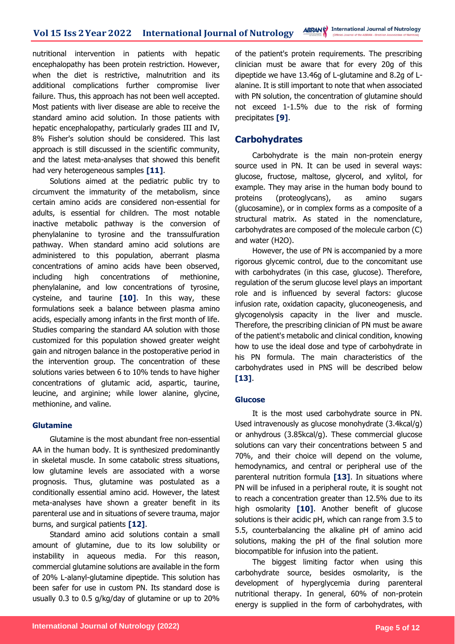nutritional intervention in patients with hepatic encephalopathy has been protein restriction. However, when the diet is restrictive, malnutrition and its additional complications further compromise liver failure. Thus, this approach has not been well accepted. Most patients with liver disease are able to receive the standard amino acid solution. In those patients with hepatic encephalopathy, particularly grades III and IV, 8% Fisher's solution should be considered. This last approach is still discussed in the scientific community, and the latest meta-analyses that showed this benefit had very heterogeneous samples **[11]**.

Solutions aimed at the pediatric public try to circumvent the immaturity of the metabolism, since certain amino acids are considered non-essential for adults, is essential for children. The most notable inactive metabolic pathway is the conversion of phenylalanine to tyrosine and the transsulfuration pathway. When standard amino acid solutions are administered to this population, aberrant plasma concentrations of amino acids have been observed, including high concentrations of methionine, phenylalanine, and low concentrations of tyrosine, cysteine, and taurine **[10]**. In this way, these formulations seek a balance between plasma amino acids, especially among infants in the first month of life. Studies comparing the standard AA solution with those customized for this population showed greater weight gain and nitrogen balance in the postoperative period in the intervention group. The concentration of these solutions varies between 6 to 10% tends to have higher concentrations of glutamic acid, aspartic, taurine, leucine, and arginine; while lower alanine, glycine, methionine, and valine.

### **Glutamine**

Glutamine is the most abundant free non-essential AA in the human body. It is synthesized predominantly in skeletal muscle. In some catabolic stress situations, low glutamine levels are associated with a worse prognosis. Thus, glutamine was postulated as a conditionally essential amino acid. However, the latest meta-analyses have shown a greater benefit in its parenteral use and in situations of severe trauma, major burns, and surgical patients **[12]**.

Standard amino acid solutions contain a small amount of glutamine, due to its low solubility or instability in aqueous media. For this reason, commercial glutamine solutions are available in the form of 20% L-alanyl-glutamine dipeptide. This solution has been safer for use in custom PN. Its standard dose is usually 0.3 to 0.5 g/kg/day of glutamine or up to 20%

of the patient's protein requirements. The prescribing clinician must be aware that for every 20g of this dipeptide we have 13.46g of L-glutamine and 8.2g of Lalanine. It is still important to note that when associated with PN solution, the concentration of glutamine should not exceed 1-1.5% due to the risk of forming precipitates **[9]**.

### **Carbohydrates**

Carbohydrate is the main non-protein energy source used in PN. It can be used in several ways: glucose, fructose, maltose, glycerol, and xylitol, for example. They may arise in the human body bound to proteins (proteoglycans), as amino sugars (glucosamine), or in complex forms as a composite of a structural matrix. As stated in the nomenclature, carbohydrates are composed of the molecule carbon (C) and water (H2O).

However, the use of PN is accompanied by a more rigorous glycemic control, due to the concomitant use with carbohydrates (in this case, glucose). Therefore, regulation of the serum glucose level plays an important role and is influenced by several factors: glucose infusion rate, oxidation capacity, gluconeogenesis, and glycogenolysis capacity in the liver and muscle. Therefore, the prescribing clinician of PN must be aware of the patient's metabolic and clinical condition, knowing how to use the ideal dose and type of carbohydrate in his PN formula. The main characteristics of the carbohydrates used in PNS will be described below **[13]**.

### **Glucose**

It is the most used carbohydrate source in PN. Used intravenously as glucose monohydrate (3.4kcal/g) or anhydrous (3.85kcal/g). These commercial glucose solutions can vary their concentrations between 5 and 70%, and their choice will depend on the volume, hemodynamics, and central or peripheral use of the parenteral nutrition formula **[13]**. In situations where PN will be infused in a peripheral route, it is sought not to reach a concentration greater than 12.5% due to its high osmolarity **[10]**. Another benefit of glucose solutions is their acidic pH, which can range from 3.5 to 5.5, counterbalancing the alkaline pH of amino acid solutions, making the pH of the final solution more biocompatible for infusion into the patient.

The biggest limiting factor when using this carbohydrate source, besides osmolarity, is the development of hyperglycemia during parenteral nutritional therapy. In general, 60% of non-protein energy is supplied in the form of carbohydrates, with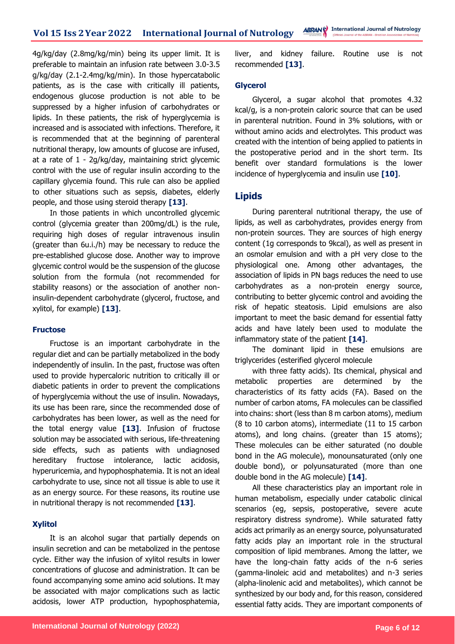4g/kg/day (2.8mg/kg/min) being its upper limit. It is preferable to maintain an infusion rate between 3.0-3.5 g/kg/day (2.1-2.4mg/kg/min). In those hypercatabolic patients, as is the case with critically ill patients, endogenous glucose production is not able to be suppressed by a higher infusion of carbohydrates or lipids. In these patients, the risk of hyperglycemia is increased and is associated with infections. Therefore, it is recommended that at the beginning of parenteral nutritional therapy, low amounts of glucose are infused, at a rate of 1 - 2g/kg/day, maintaining strict glycemic control with the use of regular insulin according to the capillary glycemia found. This rule can also be applied to other situations such as sepsis, diabetes, elderly people, and those using steroid therapy **[13]**.

In those patients in which uncontrolled glycemic control (glycemia greater than 200mg/dL) is the rule, requiring high doses of regular intravenous insulin (greater than 6u.i./h) may be necessary to reduce the pre-established glucose dose. Another way to improve glycemic control would be the suspension of the glucose solution from the formula (not recommended for stability reasons) or the association of another noninsulin-dependent carbohydrate (glycerol, fructose, and xylitol, for example) **[13]**.

#### **Fructose**

Fructose is an important carbohydrate in the regular diet and can be partially metabolized in the body independently of insulin. In the past, fructose was often used to provide hypercaloric nutrition to critically ill or diabetic patients in order to prevent the complications of hyperglycemia without the use of insulin. Nowadays, its use has been rare, since the recommended dose of carbohydrates has been lower, as well as the need for the total energy value **[13]**. Infusion of fructose solution may be associated with serious, life-threatening side effects, such as patients with undiagnosed hereditary fructose intolerance, lactic acidosis, hyperuricemia, and hypophosphatemia. It is not an ideal carbohydrate to use, since not all tissue is able to use it as an energy source. For these reasons, its routine use in nutritional therapy is not recommended **[13]**.

### **Xylitol**

It is an alcohol sugar that partially depends on insulin secretion and can be metabolized in the pentose cycle. Either way the infusion of xylitol results in lower concentrations of glucose and administration. It can be found accompanying some amino acid solutions. It may be associated with major complications such as lactic acidosis, lower ATP production, hypophosphatemia,

liver, and kidney failure. Routine use is not recommended **[13]**.

#### **Glycerol**

Glycerol, a sugar alcohol that promotes 4.32 kcal/g, is a non-protein caloric source that can be used in parenteral nutrition. Found in 3% solutions, with or without amino acids and electrolytes. This product was created with the intention of being applied to patients in the postoperative period and in the short term. Its benefit over standard formulations is the lower incidence of hyperglycemia and insulin use **[10]**.

### **Lipids**

During parenteral nutritional therapy, the use of lipids, as well as carbohydrates, provides energy from non-protein sources. They are sources of high energy content (1g corresponds to 9kcal), as well as present in an osmolar emulsion and with a pH very close to the physiological one. Among other advantages, the association of lipids in PN bags reduces the need to use carbohydrates as a non-protein energy source, contributing to better glycemic control and avoiding the risk of hepatic steatosis. Lipid emulsions are also important to meet the basic demand for essential fatty acids and have lately been used to modulate the inflammatory state of the patient **[14]**.

The dominant lipid in these emulsions are triglycerides (esterified glycerol molecule

with three fatty acids). Its chemical, physical and metabolic properties are determined by the characteristics of its fatty acids (FA). Based on the number of carbon atoms, FA molecules can be classified into chains: short (less than 8 m carbon atoms), medium (8 to 10 carbon atoms), intermediate (11 to 15 carbon atoms), and long chains. (greater than 15 atoms); These molecules can be either saturated (no double bond in the AG molecule), monounsaturated (only one double bond), or polyunsaturated (more than one double bond in the AG molecule) **[14]**.

All these characteristics play an important role in human metabolism, especially under catabolic clinical scenarios (eg, sepsis, postoperative, severe acute respiratory distress syndrome). While saturated fatty acids act primarily as an energy source, polyunsaturated fatty acids play an important role in the structural composition of lipid membranes. Among the latter, we have the long-chain fatty acids of the n-6 series (gamma-linoleic acid and metabolites) and n-3 series (alpha-linolenic acid and metabolites), which cannot be synthesized by our body and, for this reason, considered essential fatty acids. They are important components of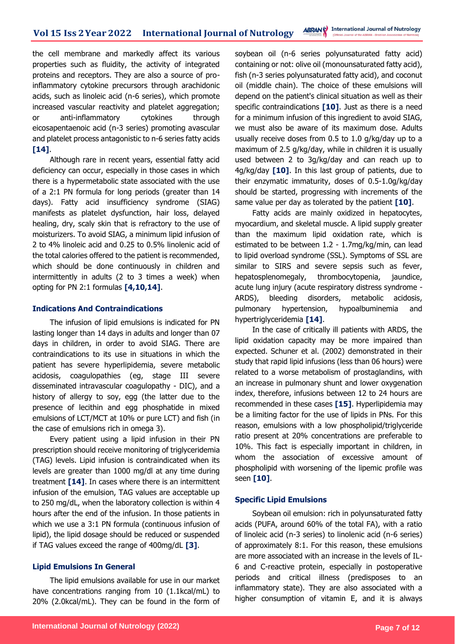the cell membrane and markedly affect its various properties such as fluidity, the activity of integrated proteins and receptors. They are also a source of proinflammatory cytokine precursors through arachidonic acids, such as linoleic acid (n-6 series), which promote increased vascular reactivity and platelet aggregation; or anti-inflammatory cytokines through eicosapentaenoic acid (n-3 series) promoting avascular and platelet process antagonistic to n-6 series fatty acids **[14]**.

Although rare in recent years, essential fatty acid deficiency can occur, especially in those cases in which there is a hypermetabolic state associated with the use of a 2:1 PN formula for long periods (greater than 14 days). Fatty acid insufficiency syndrome (SIAG) manifests as platelet dysfunction, hair loss, delayed healing, dry, scaly skin that is refractory to the use of moisturizers. To avoid SIAG, a minimum lipid infusion of 2 to 4% linoleic acid and 0.25 to 0.5% linolenic acid of the total calories offered to the patient is recommended, which should be done continuously in children and intermittently in adults (2 to 3 times a week) when opting for PN 2:1 formulas **[4,10,14]**.

#### **Indications And Contraindications**

The infusion of lipid emulsions is indicated for PN lasting longer than 14 days in adults and longer than 07 days in children, in order to avoid SIAG. There are contraindications to its use in situations in which the patient has severe hyperlipidemia, severe metabolic acidosis, coagulopathies (eg, stage III severe disseminated intravascular coagulopathy - DIC), and a history of allergy to soy, egg (the latter due to the presence of lecithin and egg phosphatide in mixed emulsions of LCT/MCT at 10% or pure LCT) and fish (in the case of emulsions rich in omega 3).

Every patient using a lipid infusion in their PN prescription should receive monitoring of triglyceridemia (TAG) levels. Lipid infusion is contraindicated when its levels are greater than 1000 mg/dl at any time during treatment **[14]**. In cases where there is an intermittent infusion of the emulsion, TAG values are acceptable up to 250 mg/dL, when the laboratory collection is within 4 hours after the end of the infusion. In those patients in which we use a 3:1 PN formula (continuous infusion of lipid), the lipid dosage should be reduced or suspended if TAG values exceed the range of 400mg/dL **[3]**.

### **Lipid Emulsions In General**

The lipid emulsions available for use in our market have concentrations ranging from 10 (1.1kcal/mL) to 20% (2.0kcal/mL). They can be found in the form of soybean oil (n-6 series polyunsaturated fatty acid) containing or not: olive oil (monounsaturated fatty acid), fish (n-3 series polyunsaturated fatty acid), and coconut oil (middle chain). The choice of these emulsions will depend on the patient's clinical situation as well as their specific contraindications **[10]**. Just as there is a need for a minimum infusion of this ingredient to avoid SIAG, we must also be aware of its maximum dose. Adults usually receive doses from 0.5 to 1.0 g/kg/day up to a maximum of 2.5 g/kg/day, while in children it is usually used between 2 to 3g/kg/day and can reach up to 4g/kg/day **[10]**. In this last group of patients, due to their enzymatic immaturity, doses of 0.5-1.0g/kg/day should be started, progressing with increments of the same value per day as tolerated by the patient **[10]**.

Fatty acids are mainly oxidized in hepatocytes, myocardium, and skeletal muscle. A lipid supply greater than the maximum lipid oxidation rate, which is estimated to be between 1.2 - 1.7mg/kg/min, can lead to lipid overload syndrome (SSL). Symptoms of SSL are similar to SIRS and severe sepsis such as fever, hepatosplenomegaly, thrombocytopenia, jaundice, acute lung injury (acute respiratory distress syndrome - ARDS), bleeding disorders, metabolic acidosis, pulmonary hypertension, hypoalbuminemia and hypertriglyceridemia **[14]**.

In the case of critically ill patients with ARDS, the lipid oxidation capacity may be more impaired than expected. Schuner et al. (2002) demonstrated in their study that rapid lipid infusions (less than 06 hours) were related to a worse metabolism of prostaglandins, with an increase in pulmonary shunt and lower oxygenation index, therefore, infusions between 12 to 24 hours are recommended in these cases **[15]**. Hyperlipidemia may be a limiting factor for the use of lipids in PNs. For this reason, emulsions with a low phospholipid/triglyceride ratio present at 20% concentrations are preferable to 10%. This fact is especially important in children, in whom the association of excessive amount of phospholipid with worsening of the lipemic profile was seen **[10]**.

#### **Specific Lipid Emulsions**

Soybean oil emulsion: rich in polyunsaturated fatty acids (PUFA, around 60% of the total FA), with a ratio of linoleic acid (n-3 series) to linolenic acid (n-6 series) of approximately 8:1. For this reason, these emulsions are more associated with an increase in the levels of IL-6 and C-reactive protein, especially in postoperative periods and critical illness (predisposes to an inflammatory state). They are also associated with a higher consumption of vitamin E, and it is always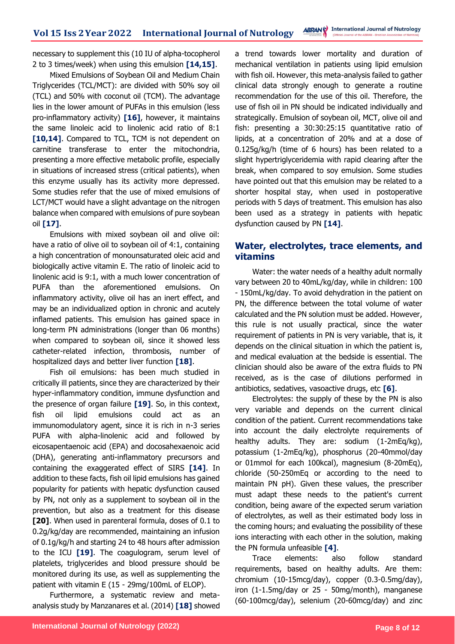necessary to supplement this (10 IU of alpha-tocopherol 2 to 3 times/week) when using this emulsion **[14,15]**.

Mixed Emulsions of Soybean Oil and Medium Chain Triglycerides (TCL/MCT): are divided with 50% soy oil (TCL) and 50% with coconut oil (TCM). The advantage lies in the lower amount of PUFAs in this emulsion (less pro-inflammatory activity) **[16]**, however, it maintains the same linoleic acid to linolenic acid ratio of 8:1 [10,14]. Compared to TCL, TCM is not dependent on carnitine transferase to enter the mitochondria, presenting a more effective metabolic profile, especially in situations of increased stress (critical patients), when this enzyme usually has its activity more depressed. Some studies refer that the use of mixed emulsions of LCT/MCT would have a slight advantage on the nitrogen balance when compared with emulsions of pure soybean oil **[17]**.

Emulsions with mixed soybean oil and olive oil: have a ratio of olive oil to soybean oil of 4:1, containing a high concentration of monounsaturated oleic acid and biologically active vitamin E. The ratio of linoleic acid to linolenic acid is 9:1, with a much lower concentration of PUFA than the aforementioned emulsions. On inflammatory activity, olive oil has an inert effect, and may be an individualized option in chronic and acutely inflamed patients. This emulsion has gained space in long-term PN administrations (longer than 06 months) when compared to soybean oil, since it showed less catheter-related infection, thrombosis, number of hospitalized days and better liver function **[18]**.

Fish oil emulsions: has been much studied in critically ill patients, since they are characterized by their hyper-inflammatory condition, immune dysfunction and the presence of organ failure **[19]**. So, in this context, fish oil lipid emulsions could act as an immunomodulatory agent, since it is rich in n-3 series PUFA with alpha-linolenic acid and followed by eicosapentaenoic acid (EPA) and docosahexaenoic acid (DHA), generating anti-inflammatory precursors and containing the exaggerated effect of SIRS **[14]**. In addition to these facts, fish oil lipid emulsions has gained popularity for patients with hepatic dysfunction caused by PN, not only as a supplement to soybean oil in the prevention, but also as a treatment for this disease **[20]**. When used in parenteral formula, doses of 0.1 to 0.2g/kg/day are recommended, maintaining an infusion of 0.1g/kg/h and starting 24 to 48 hours after admission to the ICU **[19]**. The coagulogram, serum level of platelets, triglycerides and blood pressure should be monitored during its use, as well as supplementing the patient with vitamin E (15 - 29mg/100mL of ELOP).

Furthermore, a systematic review and metaanalysis study by Manzanares et al. (2014) **[18]** showed a trend towards lower mortality and duration of mechanical ventilation in patients using lipid emulsion with fish oil. However, this meta-analysis failed to gather clinical data strongly enough to generate a routine recommendation for the use of this oil. Therefore, the use of fish oil in PN should be indicated individually and strategically. Emulsion of soybean oil, MCT, olive oil and fish: presenting a 30:30:25:15 quantitative ratio of lipids, at a concentration of 20% and at a dose of 0.125g/kg/h (time of 6 hours) has been related to a slight hypertriglyceridemia with rapid clearing after the break, when compared to soy emulsion. Some studies have pointed out that this emulsion may be related to a shorter hospital stay, when used in postoperative periods with 5 days of treatment. This emulsion has also been used as a strategy in patients with hepatic dysfunction caused by PN **[14]**.

# **Water, electrolytes, trace elements, and vitamins**

Water: the water needs of a healthy adult normally vary between 20 to 40mL/kg/day, while in children: 100 - 150mL/kg/day. To avoid dehydration in the patient on PN, the difference between the total volume of water calculated and the PN solution must be added. However, this rule is not usually practical, since the water requirement of patients in PN is very variable, that is, it depends on the clinical situation in which the patient is, and medical evaluation at the bedside is essential. The clinician should also be aware of the extra fluids to PN received, as is the case of dilutions performed in antibiotics, sedatives, vasoactive drugs, etc **[6]**.

Electrolytes: the supply of these by the PN is also very variable and depends on the current clinical condition of the patient. Current recommendations take into account the daily electrolyte requirements of healthy adults. They are: sodium (1-2mEq/kg), potassium (1-2mEq/kg), phosphorus (20-40mmol/day or 01mmol for each 100kcal), magnesium (8-20mEq), chloride (50-250mEq or according to the need to maintain PN pH). Given these values, the prescriber must adapt these needs to the patient's current condition, being aware of the expected serum variation of electrolytes, as well as their estimated body loss in the coming hours; and evaluating the possibility of these ions interacting with each other in the solution, making the PN formula unfeasible **[4]**.

Trace elements: also follow standard requirements, based on healthy adults. Are them: chromium (10-15mcg/day), copper (0.3-0.5mg/day), iron (1-1.5mg/day or 25 - 50mg/month), manganese (60-100mcg/day), selenium (20-60mcg/day) and zinc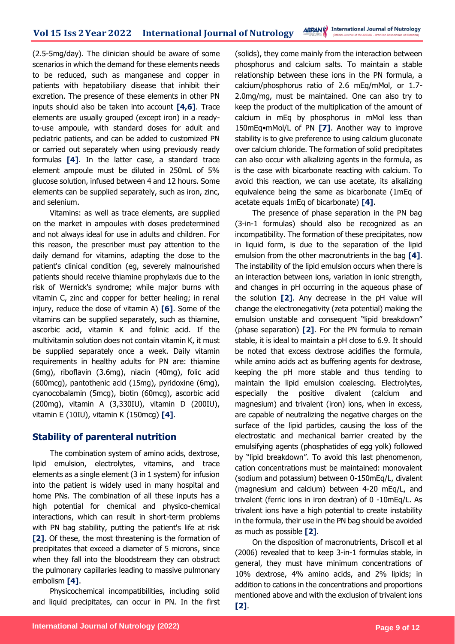(2.5-5mg/day). The clinician should be aware of some scenarios in which the demand for these elements needs to be reduced, such as manganese and copper in patients with hepatobiliary disease that inhibit their excretion. The presence of these elements in other PN inputs should also be taken into account **[4,6]**. Trace elements are usually grouped (except iron) in a readyto-use ampoule, with standard doses for adult and pediatric patients, and can be added to customized PN or carried out separately when using previously ready formulas **[4]**. In the latter case, a standard trace element ampoule must be diluted in 250mL of 5% glucose solution, infused between 4 and 12 hours. Some elements can be supplied separately, such as iron, zinc, and selenium.

Vitamins: as well as trace elements, are supplied on the market in ampoules with doses predetermined and not always ideal for use in adults and children. For this reason, the prescriber must pay attention to the daily demand for vitamins, adapting the dose to the patient's clinical condition (eg, severely malnourished patients should receive thiamine prophylaxis due to the risk of Wernick's syndrome; while major burns with vitamin C, zinc and copper for better healing; in renal injury, reduce the dose of vitamin A) **[6]**. Some of the vitamins can be supplied separately, such as thiamine, ascorbic acid, vitamin K and folinic acid. If the multivitamin solution does not contain vitamin K, it must be supplied separately once a week. Daily vitamin requirements in healthy adults for PN are: thiamine (6mg), riboflavin (3.6mg), niacin (40mg), folic acid (600mcg), pantothenic acid (15mg), pyridoxine (6mg), cyanocobalamin (5mcg), biotin (60mcg), ascorbic acid (200mg), vitamin A (3,330IU), vitamin D (200IU), vitamin E (10IU), vitamin K (150mcg) **[4]**.

# **Stability of parenteral nutrition**

The combination system of amino acids, dextrose, lipid emulsion, electrolytes, vitamins, and trace elements as a single element (3 in 1 system) for infusion into the patient is widely used in many hospital and home PNs. The combination of all these inputs has a high potential for chemical and physico-chemical interactions, which can result in short-term problems with PN bag stability, putting the patient's life at risk **[2]**. Of these, the most threatening is the formation of precipitates that exceed a diameter of 5 microns, since when they fall into the bloodstream they can obstruct the pulmonary capillaries leading to massive pulmonary embolism **[4]**.

Physicochemical incompatibilities, including solid and liquid precipitates, can occur in PN. In the first (solids), they come mainly from the interaction between phosphorus and calcium salts. To maintain a stable relationship between these ions in the PN formula, a calcium/phosphorus ratio of 2.6 mEq/mMol, or 1.7- 2.0mg/mg, must be maintained. One can also try to keep the product of the multiplication of the amount of calcium in mEq by phosphorus in mMol less than 150mEq•mMol/L of PN **[7]**. Another way to improve stability is to give preference to using calcium gluconate over calcium chloride. The formation of solid precipitates can also occur with alkalizing agents in the formula, as is the case with bicarbonate reacting with calcium. To avoid this reaction, we can use acetate, its alkalizing equivalence being the same as bicarbonate (1mEq of acetate equals 1mEq of bicarbonate) **[4]**.

The presence of phase separation in the PN bag (3-in-1 formulas) should also be recognized as an incompatibility. The formation of these precipitates, now in liquid form, is due to the separation of the lipid emulsion from the other macronutrients in the bag **[4]**. The instability of the lipid emulsion occurs when there is an interaction between ions, variation in ionic strength, and changes in pH occurring in the aqueous phase of the solution **[2]**. Any decrease in the pH value will change the electronegativity (zeta potential) making the emulsion unstable and consequent "lipid breakdown" (phase separation) **[2]**. For the PN formula to remain stable, it is ideal to maintain a pH close to 6.9. It should be noted that excess dextrose acidifies the formula, while amino acids act as buffering agents for dextrose, keeping the pH more stable and thus tending to maintain the lipid emulsion coalescing. Electrolytes, especially the positive divalent (calcium and magnesium) and trivalent (iron) ions, when in excess, are capable of neutralizing the negative charges on the surface of the lipid particles, causing the loss of the electrostatic and mechanical barrier created by the emulsifying agents (phosphatides of egg yolk) followed by "lipid breakdown". To avoid this last phenomenon, cation concentrations must be maintained: monovalent (sodium and potassium) between 0-150mEq/L, divalent (magnesium and calcium) between 4-20 mEq/L, and trivalent (ferric ions in iron dextran) of 0 -10mEq/L. As trivalent ions have a high potential to create instability in the formula, their use in the PN bag should be avoided as much as possible **[2]**.

On the disposition of macronutrients, Driscoll et al (2006) revealed that to keep 3-in-1 formulas stable, in general, they must have minimum concentrations of 10% dextrose, 4% amino acids, and 2% lipids; in addition to cations in the concentrations and proportions mentioned above and with the exclusion of trivalent ions **[2]**.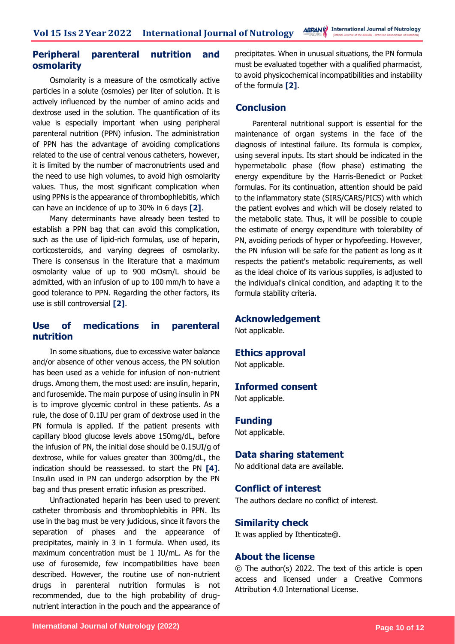# **Peripheral parenteral nutrition and osmolarity**

Osmolarity is a measure of the osmotically active particles in a solute (osmoles) per liter of solution. It is actively influenced by the number of amino acids and dextrose used in the solution. The quantification of its value is especially important when using peripheral parenteral nutrition (PPN) infusion. The administration of PPN has the advantage of avoiding complications related to the use of central venous catheters, however, it is limited by the number of macronutrients used and the need to use high volumes, to avoid high osmolarity values. Thus, the most significant complication when using PPNs is the appearance of thrombophlebitis, which can have an incidence of up to 30% in 6 days **[2]**.

Many determinants have already been tested to establish a PPN bag that can avoid this complication, such as the use of lipid-rich formulas, use of heparin, corticosteroids, and varying degrees of osmolarity. There is consensus in the literature that a maximum osmolarity value of up to 900 mOsm/L should be admitted, with an infusion of up to 100 mm/h to have a good tolerance to PPN. Regarding the other factors, its use is still controversial **[2]**.

# **Use of medications in parenteral nutrition**

In some situations, due to excessive water balance and/or absence of other venous access, the PN solution has been used as a vehicle for infusion of non-nutrient drugs. Among them, the most used: are insulin, heparin, and furosemide. The main purpose of using insulin in PN is to improve glycemic control in these patients. As a rule, the dose of 0.1IU per gram of dextrose used in the PN formula is applied. If the patient presents with capillary blood glucose levels above 150mg/dL, before the infusion of PN, the initial dose should be 0.15UI/g of dextrose, while for values greater than 300mg/dL, the indication should be reassessed. to start the PN **[4]**. Insulin used in PN can undergo adsorption by the PN bag and thus present erratic infusion as prescribed.

Unfractionated heparin has been used to prevent catheter thrombosis and thrombophlebitis in PPN. Its use in the bag must be very judicious, since it favors the separation of phases and the appearance of precipitates, mainly in 3 in 1 formula. When used, its maximum concentration must be 1 IU/mL. As for the use of furosemide, few incompatibilities have been described. However, the routine use of non-nutrient drugs in parenteral nutrition formulas is not recommended, due to the high probability of drugnutrient interaction in the pouch and the appearance of precipitates. When in unusual situations, the PN formula must be evaluated together with a qualified pharmacist, to avoid physicochemical incompatibilities and instability of the formula **[2]**.

# **Conclusion**

Parenteral nutritional support is essential for the maintenance of organ systems in the face of the diagnosis of intestinal failure. Its formula is complex, using several inputs. Its start should be indicated in the hypermetabolic phase (flow phase) estimating the energy expenditure by the Harris-Benedict or Pocket formulas. For its continuation, attention should be paid to the inflammatory state (SIRS/CARS/PICS) with which the patient evolves and which will be closely related to the metabolic state. Thus, it will be possible to couple the estimate of energy expenditure with tolerability of PN, avoiding periods of hyper or hypofeeding. However, the PN infusion will be safe for the patient as long as it respects the patient's metabolic requirements, as well as the ideal choice of its various supplies, is adjusted to the individual's clinical condition, and adapting it to the formula stability criteria.

### **Acknowledgement**

Not applicable.

### **Ethics approval**

Not applicable.

### **Informed consent**

Not applicable.

### **Funding**

Not applicable.

### **Data sharing statement**

No additional data are available.

### **Conflict of interest**

The authors declare no conflict of interest.

### **Similarity check**

It was applied by Ithenticate@.

### **About the license**

© The author(s) 2022. The text of this article is open access and licensed under a Creative Commons Attribution 4.0 International License.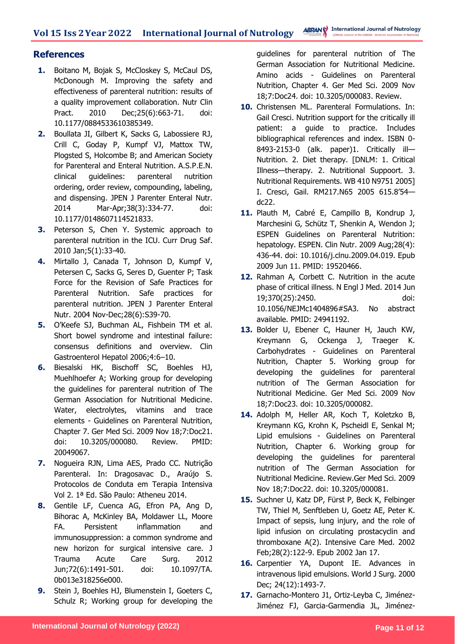### **References**

- **1.** Boitano M, Bojak S, McCloskey S, McCaul DS, McDonough M. Improving the safety and effectiveness of parenteral nutrition: results of a quality improvement collaboration. Nutr Clin Pract. 2010 Dec;25(6):663-71. doi: 10.1177/0884533610385349.
- **2.** Boullata JI, Gilbert K, Sacks G, Labossiere RJ, Crill C, Goday P, Kumpf VJ, Mattox TW, Plogsted S, Holcombe B; and American Society for Parenteral and Enteral Nutrition. A.S.P.E.N. clinical guidelines: parenteral nutrition ordering, order review, compounding, labeling, and dispensing. JPEN J Parenter Enteral Nutr. 2014 Mar-Apr;38(3):334-77. doi: 10.1177/0148607114521833.
- **3.** Peterson S, Chen Y. Systemic approach to parenteral nutrition in the ICU. Curr Drug Saf. 2010 Jan;5(1):33-40.
- **4.** Mirtallo J, Canada T, Johnson D, Kumpf V, Petersen C, Sacks G, Seres D, Guenter P; Task Force for the Revision of Safe Practices for Parenteral Nutrition. Safe practices for parenteral nutrition. JPEN J Parenter Enteral Nutr. 2004 Nov-Dec;28(6):S39-70.
- **5.** O'Keefe SJ, Buchman AL, Fishbein TM et al. Short bowel syndrome and intestinal failure: consensus definitions and overview. Clin Gastroenterol Hepatol 2006;4:6–10.
- **6.** Biesalski HK, Bischoff SC, Boehles HJ, Muehlhoefer A; Working group for developing the guidelines for parenteral nutrition of The German Association for Nutritional Medicine. Water, electrolytes, vitamins and trace elements - Guidelines on Parenteral Nutrition, Chapter 7. Ger Med Sci. 2009 Nov 18;7:Doc21. doi: 10.3205/000080. Review. PMID: 20049067.
- **7.** Nogueira RJN, Lima AES, Prado CC. Nutrição Parenteral. In: Dragosavac D., Araújo S. Protocolos de Conduta em Terapia Intensiva Vol 2. 1ª Ed. São Paulo: Atheneu 2014.
- **8.** Gentile LF, Cuenca AG, Efron PA, Ang D, Bihorac A, McKinley BA, Moldawer LL, Moore FA. Persistent inflammation and immunosuppression: a common syndrome and new horizon for surgical intensive care. J Trauma Acute Care Surg. 2012 Jun;72(6):1491-501. doi: 10.1097/TA. 0b013e318256e000.
- **9.** Stein J, Boehles HJ, Blumenstein I, Goeters C, Schulz R; Working group for developing the

guidelines for parenteral nutrition of The German Association for Nutritional Medicine. Amino acids - Guidelines on Parenteral Nutrition, Chapter 4. Ger Med Sci. 2009 Nov 18;7:Doc24. doi: 10.3205/000083. Review.

- **10.** Christensen ML. Parenteral Formulations. In: Gail Cresci. Nutrition support for the critically ill patient: a guide to practice. Includes bibliographical references and index. ISBN 0- 8493-2153-0 (alk. paper)1. Critically ill-Nutrition. 2. Diet therapy. [DNLM: 1. Critical Illness—therapy. 2. Nutritional Suppoort. 3. Nutritional Requirements. WB 410 N9751 2005] I. Cresci, Gail. RM217.N65 2005 615.8'54 dc22.
- **11.** Plauth M, Cabré E, Campillo B, Kondrup J, Marchesini G, Schütz T, Shenkin A, Wendon J; ESPEN Guidelines on Parenteral Nutrition: hepatology. ESPEN. Clin Nutr. 2009 Aug;28(4): 436-44. doi: 10.1016/j.clnu.2009.04.019. Epub 2009 Jun 11. PMID: 19520466.
- **12.** Rahman A, Corbett C. Nutrition in the acute phase of critical illness. N Engl J Med. 2014 Jun 19;370(25):2450. doi: 10.1056/NEJMc1404896#SA3. No abstract available. PMID: 24941192.
- **13.** Bolder U, Ebener C, Hauner H, Jauch KW, Kreymann G, Ockenga J, Traeger K. Carbohydrates - Guidelines on Parenteral Nutrition, Chapter 5. Working group for developing the guidelines for parenteral nutrition of The German Association for Nutritional Medicine. Ger Med Sci. 2009 Nov 18;7:Doc23. doi: 10.3205/000082.
- **14.** Adolph M, Heller AR, Koch T, Koletzko B, Kreymann KG, Krohn K, Pscheidl E, Senkal M; Lipid emulsions - Guidelines on Parenteral Nutrition, Chapter 6. Working group for developing the guidelines for parenteral nutrition of The German Association for Nutritional Medicine. Review.Ger Med Sci. 2009 Nov 18;7:Doc22. doi: 10.3205/000081.
- **15.** Suchner U, Katz DP, Fürst P, Beck K, Felbinger TW, Thiel M, Senftleben U, Goetz AE, Peter K. Impact of sepsis, lung injury, and the role of lipid infusion on circulating prostacyclin and thromboxane A(2). Intensive Care Med. 2002 Feb;28(2):122-9. Epub 2002 Jan 17.
- **16.** Carpentier YA, Dupont IE. Advances in intravenous lipid emulsions. World J Surg. 2000 Dec; 24(12):1493-7.
- **17.** Garnacho-Montero J1, Ortiz-Leyba C, Jiménez-Jiménez FJ, Garcia-Garmendia JL, Jiménez-